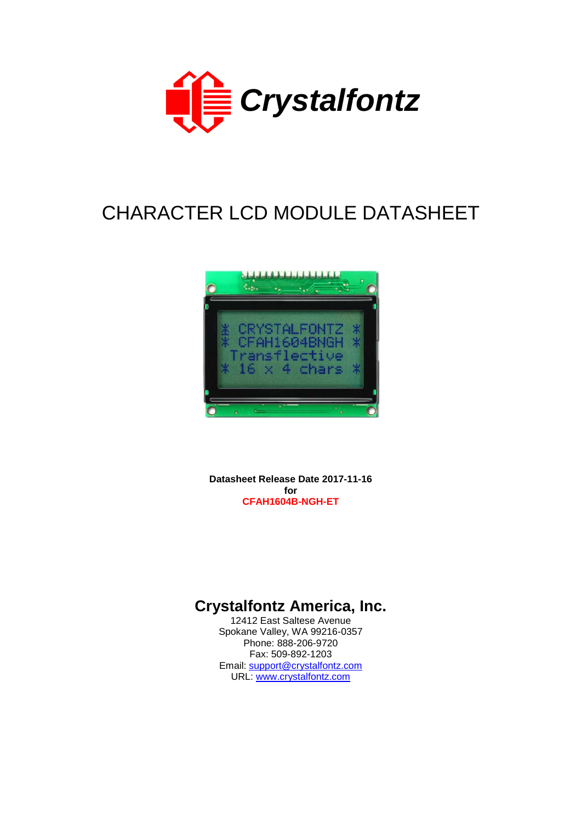

# CHARACTER LCD MODULE DATASHEET



**Datasheet Release Date 2017-11-16 for CFAH1604B-NGH-ET**

# **Crystalfontz America, Inc.**

12412 East Saltese Avenue Spokane Valley, WA 99216-0357 Phone: 888-206-9720 Fax: 509-892-1203 Email: [support@crystalfontz.com](mailto:support@crystalfontz.com) URL: [www.crystalfontz.com](http://www.crystalfontz.com/)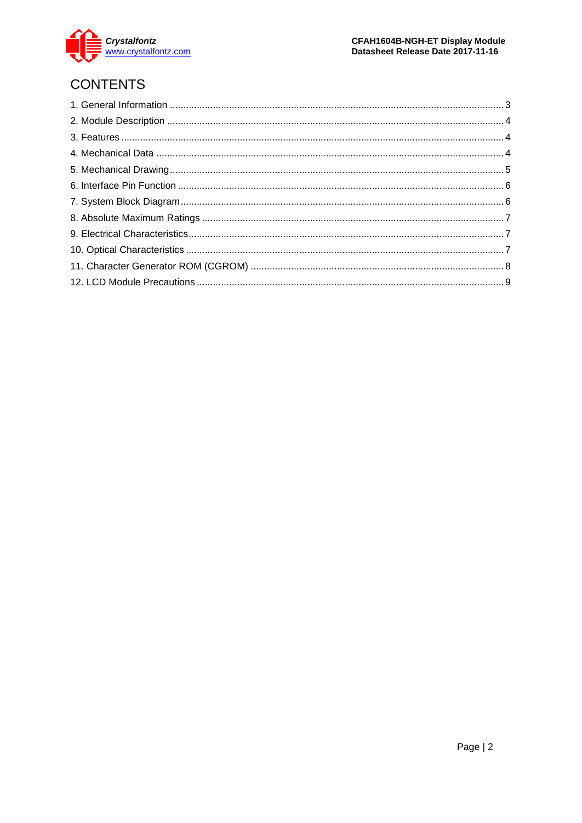

# **CONTENTS**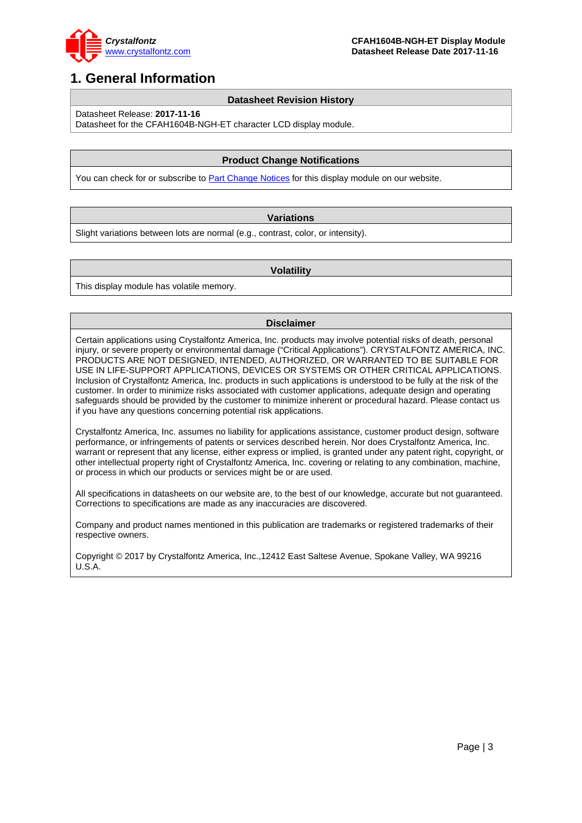

### <span id="page-2-0"></span>**1. General Information**

#### **Datasheet Revision History**

Datasheet Release: **2017-11-16**

Datasheet for the CFAH1604B-NGH-ET character LCD display module.

#### **Product Change Notifications**

You can check for or subscribe to **Part Change Notices** for this display module on our website.

#### **Variations**

Slight variations between lots are normal (e.g., contrast, color, or intensity).

#### **Volatility**

This display module has volatile memory.

#### **Disclaimer**

Certain applications using Crystalfontz America, Inc. products may involve potential risks of death, personal injury, or severe property or environmental damage ("Critical Applications"). CRYSTALFONTZ AMERICA, INC. PRODUCTS ARE NOT DESIGNED, INTENDED, AUTHORIZED, OR WARRANTED TO BE SUITABLE FOR USE IN LIFE-SUPPORT APPLICATIONS, DEVICES OR SYSTEMS OR OTHER CRITICAL APPLICATIONS. Inclusion of Crystalfontz America, Inc. products in such applications is understood to be fully at the risk of the customer. In order to minimize risks associated with customer applications, adequate design and operating safeguards should be provided by the customer to minimize inherent or procedural hazard. Please contact us if you have any questions concerning potential risk applications.

Crystalfontz America, Inc. assumes no liability for applications assistance, customer product design, software performance, or infringements of patents or services described herein. Nor does Crystalfontz America, Inc. warrant or represent that any license, either express or implied, is granted under any patent right, copyright, or other intellectual property right of Crystalfontz America, Inc. covering or relating to any combination, machine, or process in which our products or services might be or are used.

All specifications in datasheets on our website are, to the best of our knowledge, accurate but not guaranteed. Corrections to specifications are made as any inaccuracies are discovered.

Company and product names mentioned in this publication are trademarks or registered trademarks of their respective owners.

Copyright © 2017 by Crystalfontz America, Inc.,12412 East Saltese Avenue, Spokane Valley, WA 99216 U.S.A.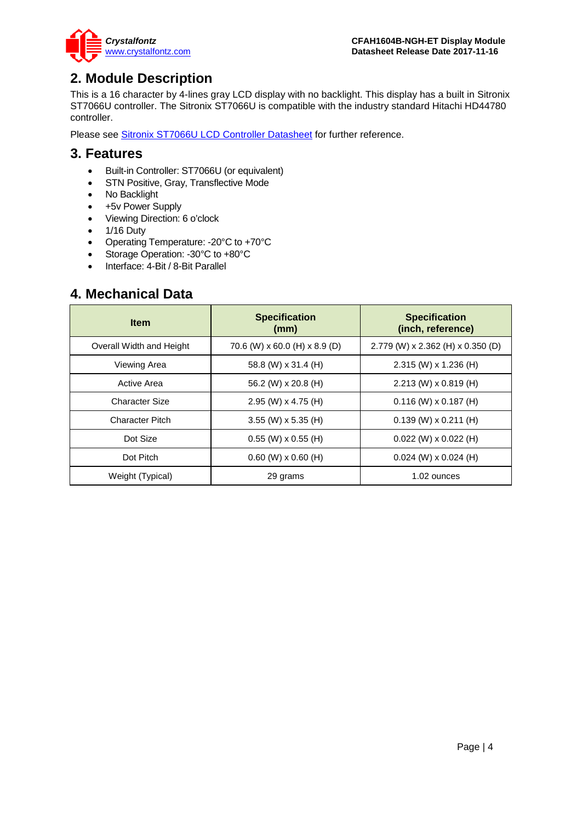

### <span id="page-3-0"></span>**2. Module Description**

This is a 16 character by 4-lines gray LCD display with no backlight. This display has a built in Sitronix ST7066U controller. The Sitronix ST7066U is compatible with the industry standard Hitachi HD44780 controller.

Please see [Sitronix ST7066U LCD Controller Datasheet](https://www.crystalfontz.com/controllers/Sitronix/ST7066U) for further reference.

#### <span id="page-3-1"></span>**3. Features**

- Built-in Controller: ST7066U (or equivalent)
- STN Positive, Gray, Transflective Mode
- No Backlight
- +5v Power Supply
- Viewing Direction: 6 o'clock
- 1/16 Duty
- Operating Temperature: -20°C to +70°C
- Storage Operation: -30°C to +80°C
- Interface: 4-Bit / 8-Bit Parallel

### <span id="page-3-2"></span>**4. Mechanical Data**

| <b>Item</b>              | <b>Specification</b><br>(mm)  | <b>Specification</b><br>(inch, reference) |  |  |  |
|--------------------------|-------------------------------|-------------------------------------------|--|--|--|
| Overall Width and Height | 70.6 (W) x 60.0 (H) x 8.9 (D) | 2.779 (W) x 2.362 (H) x 0.350 (D)         |  |  |  |
| Viewing Area             | 58.8 (W) x 31.4 (H)           | $2.315$ (W) x 1.236 (H)                   |  |  |  |
| Active Area              | 56.2 (W) x 20.8 (H)           | $2.213$ (W) x 0.819 (H)                   |  |  |  |
| <b>Character Size</b>    | $2.95$ (W) x 4.75 (H)         | $0.116$ (W) x $0.187$ (H)                 |  |  |  |
| <b>Character Pitch</b>   | 3.55 (W) x 5.35 (H)           | $0.139$ (W) x $0.211$ (H)                 |  |  |  |
| Dot Size                 | $0.55$ (W) x $0.55$ (H)       | $0.022$ (W) x $0.022$ (H)                 |  |  |  |
| Dot Pitch                | $0.60$ (W) $\times$ 0.60 (H)  | $0.024$ (W) x 0.024 (H)                   |  |  |  |
| Weight (Typical)         | 29 grams                      | 1.02 ounces                               |  |  |  |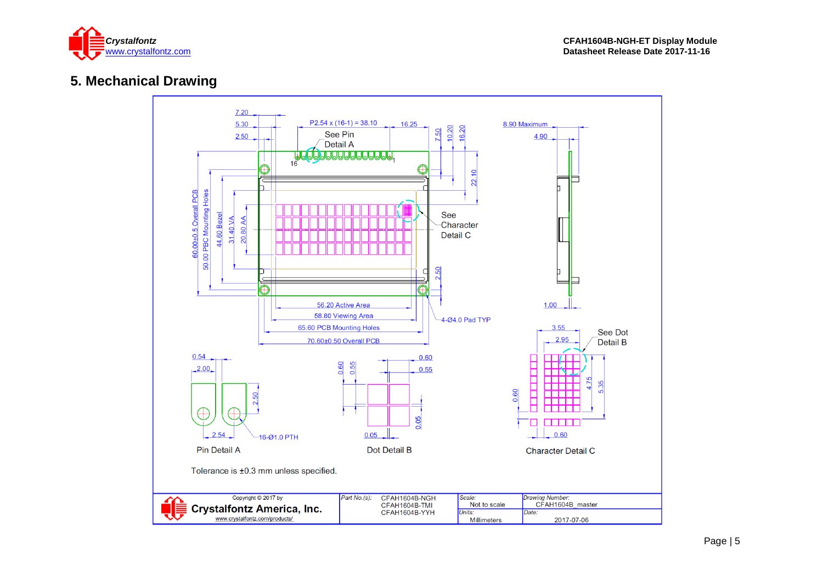

### **5. Mechanical Drawing**

<span id="page-4-0"></span>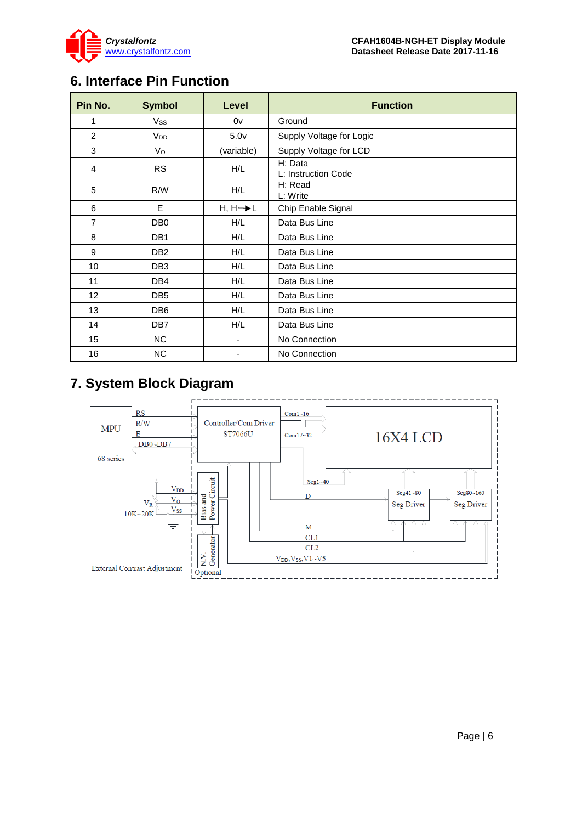

### <span id="page-5-0"></span>**6. Interface Pin Function**

| Pin No.        | <b>Symbol</b>         | Level                | <b>Function</b>                |
|----------------|-----------------------|----------------------|--------------------------------|
| 1              | Vss                   | 0v                   | Ground                         |
| 2              | <b>V<sub>DD</sub></b> | 5.0 <sub>V</sub>     | Supply Voltage for Logic       |
| 3              | Vo                    | (variable)           | Supply Voltage for LCD         |
| 4              | <b>RS</b>             | H/L                  | H: Data<br>L: Instruction Code |
| 5              | R/W                   | H/L                  | H: Read<br>L: Write            |
| 6              | E                     | $H, H \rightarrow L$ | Chip Enable Signal             |
| $\overline{7}$ | DB <sub>0</sub>       | H/L                  | Data Bus Line                  |
| 8              | DB <sub>1</sub>       | H/L                  | Data Bus Line                  |
| 9              | DB <sub>2</sub>       | H/L                  | Data Bus Line                  |
| 10             | DB <sub>3</sub>       | H/L                  | Data Bus Line                  |
| 11             | DB4                   | H/L                  | Data Bus Line                  |
| 12             | DB <sub>5</sub>       | H/L                  | Data Bus Line                  |
| 13             | DB <sub>6</sub>       | H/L                  | Data Bus Line                  |
| 14             | DB <sub>7</sub>       | H/L                  | Data Bus Line                  |
| 15             | <b>NC</b>             | ٠                    | No Connection                  |
| 16             | <b>NC</b>             | ٠                    | No Connection                  |

### <span id="page-5-1"></span>**7. System Block Diagram**

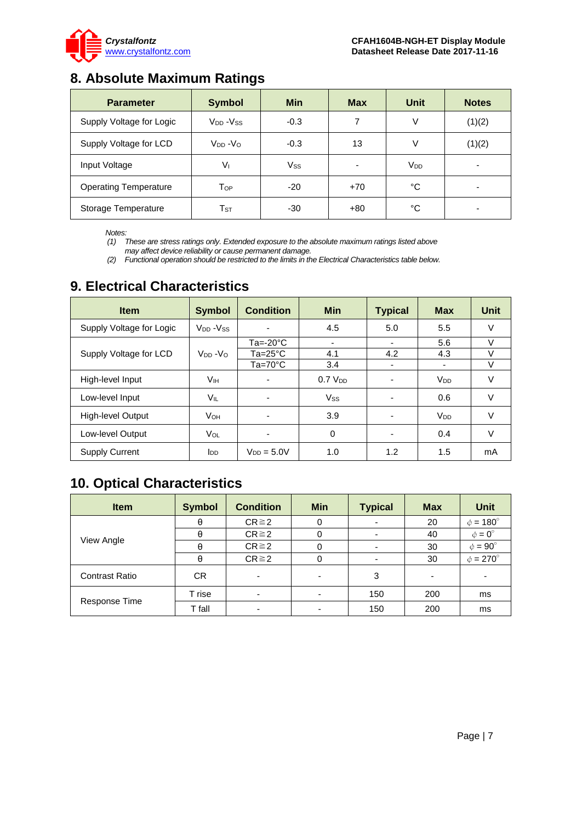

### <span id="page-6-0"></span>**8. Absolute Maximum Ratings**

| <b>Parameter</b>             | <b>Symbol</b>              | <b>Min</b> | <b>Max</b> | Unit            | <b>Notes</b> |
|------------------------------|----------------------------|------------|------------|-----------------|--------------|
| Supply Voltage for Logic     | $V_{DD} - V_{SS}$          | $-0.3$     | 7          | ٧               | (1)(2)       |
| Supply Voltage for LCD       | $V_{DD} - V_{O}$           | $-0.3$     | 13         | ٧               | (1)(2)       |
| Input Voltage                | $V_{\rm I}$                | $V_{SS}$   | ٠          | V <sub>DD</sub> | -            |
| <b>Operating Temperature</b> | Top                        | $-20$      | $+70$      | °C              |              |
| Storage Temperature          | $\mathsf{T}_{\texttt{ST}}$ | -30        | $+80$      | °C              |              |

*Notes:*

*(1) These are stress ratings only. Extended exposure to the absolute maximum ratings listed above may affect device reliability or cause permanent damage.* 

*(2) Functional operation should be restricted to the limits in the Electrical Characteristics table below.*

| <b>Item</b>              | <b>Symbol</b>                    | <b>Condition</b>   | <b>Min</b>     | <b>Typical</b>           | <b>Max</b>            | <b>Unit</b> |
|--------------------------|----------------------------------|--------------------|----------------|--------------------------|-----------------------|-------------|
| Supply Voltage for Logic | V <sub>DD</sub> -V <sub>SS</sub> |                    | 4.5            | 5.0                      | 5.5                   | $\vee$      |
|                          |                                  | $Ta = -20°C$       | ٠              | ٠                        | 5.6                   | V           |
| Supply Voltage for LCD   | $V_{DD} - V_{O}$                 | $Ta = 25^{\circ}C$ | 4.1            | 4.2                      | 4.3                   | V           |
|                          |                                  | $Ta=70^{\circ}C$   | 3.4            | $\overline{\phantom{a}}$ | ٠                     | V           |
| High-level Input         | Vıн                              |                    | $0.7$ $V_{DD}$ | $\overline{\phantom{a}}$ | <b>V<sub>DD</sub></b> | V           |
| Low-level Input          | Vil                              | $\blacksquare$     | <b>Vss</b>     | $\overline{\phantom{0}}$ | 0.6                   | V           |
| High-level Output        | <b>V</b> <sub>OН</sub>           |                    | 3.9            | $\blacksquare$           | $V_{DD}$              | $\vee$      |
| Low-level Output         | VOL                              |                    | 0              | $\overline{\phantom{a}}$ | 0.4                   | $\vee$      |
| <b>Supply Current</b>    | <b>I</b> DD                      | $V_{DD} = 5.0V$    | 1.0            | 1.2                      | 1.5                   | mA          |

### <span id="page-6-1"></span>**9. Electrical Characteristics**

# <span id="page-6-2"></span>**10. Optical Characteristics**

| <b>Item</b>           | <b>Symbol</b> | <b>Condition</b> | <b>Min</b> | <b>Typical</b> | <b>Max</b> | <b>Unit</b>          |
|-----------------------|---------------|------------------|------------|----------------|------------|----------------------|
|                       | θ             | $CR \ge 2$       | 0          |                | 20         | $\phi = 180^\circ$   |
|                       | θ             | $CR \ge 2$       | 0          |                | 40         | $\phi = 0^{\circ}$   |
| View Angle            | θ             | $CR \ge 2$       | 0          |                | 30         | $\phi = 90^{\circ}$  |
|                       | θ             | $CR \ge 2$       | 0          |                | 30         | $\phi = 270^{\circ}$ |
| <b>Contrast Ratio</b> | CR.           |                  | ۰          | 3              | -          |                      |
|                       | T rise        |                  |            | 150            | 200        | ms                   |
| Response Time         | T fall        |                  |            | 150            | 200        | ms                   |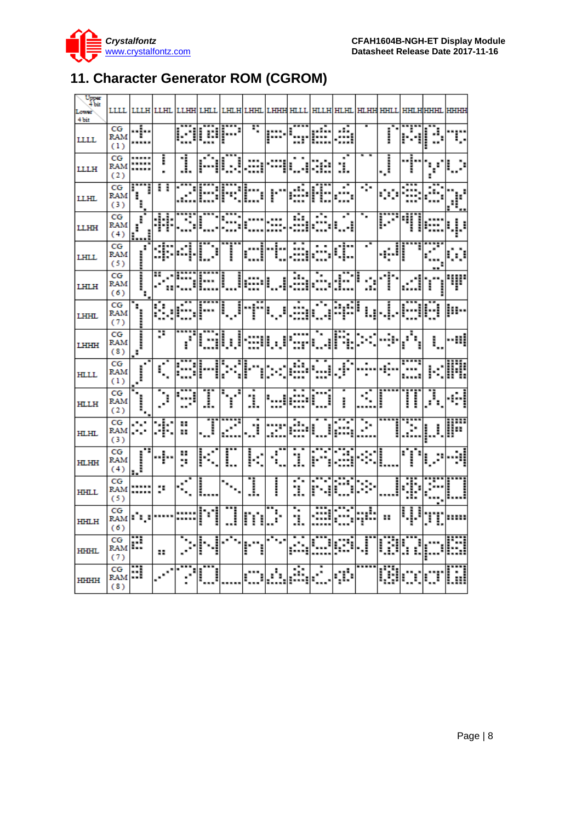

# <span id="page-7-0"></span>**11. Character Generator ROM (CGROM)**

| Upper<br>4 bit<br>Lower<br>4 bit | LLLL                    | шшн           | LLHL | LLHH     | LHLI | LHI.      | LHHT         | TAHHH HTAT |    | HLLH | HT HT     | <b>HILHH HHILI</b> |    |                        |                         |       |
|----------------------------------|-------------------------|---------------|------|----------|------|-----------|--------------|------------|----|------|-----------|--------------------|----|------------------------|-------------------------|-------|
| LLLL                             | CG<br><b>RAM</b><br>(1) | .į.,<br>1.11  |      |          | е    |           | Ŧ,           | j          |    |      | <br>;<br> |                    | į  | ì                      | $\mathbf{J}_\mathrm{p}$ |       |
| <b>LLLH</b>                      | CG<br>RAM<br>(2)        |               | i    | 1        |      |           |              |            |    |      | ×<br>ı.   |                    | Ĵ. |                        | в                       |       |
| <b>LLHL</b>                      | CG<br>RAM<br>(3)        | Ī             | Ħ    |          |      |           |              |            |    |      |           | ÷                  | m  |                        |                         |       |
| <b>LLHH</b>                      | CG<br>RAM<br>(4)        | ĭ             |      |          |      |           |              |            | Ŵ  |      | ×         | ٠.                 |    |                        |                         |       |
| LHLL                             | CG<br>RAM<br>(5)        | ľ             |      |          |      | į         |              |            |    |      | ¢         | ×,                 | ąJ |                        |                         |       |
| <b>LHLH</b>                      | CG<br>RAM<br>(6)        | Ī,            |      |          |      | į         |              |            | ш, |      |           | .:.                | Ť  |                        |                         |       |
| <b>LHHL</b>                      | CG<br>RAM<br>(7)        | H,<br>,,,,,,, | ł    |          |      | į<br>Î    | f            | E          |    |      |           | ļ                  | i  |                        |                         |       |
| LHHH                             | CG<br>RAM<br>(8)        | <br>E         | p    | i        |      | į         |              |            |    |      |           |                    |    | ۰.                     | ۱.                      | --::: |
| <b>HLLL</b>                      | CG<br>RAM<br>(1)        | Ï<br>٠        |      |          |      |           |              |            | Ŵ  |      | ŗ.        |                    |    |                        |                         |       |
| HLLH                             | CG<br>RAM<br>(2)        | Ì,            | ٠,   |          | I    | $\vec{r}$ | 1            |            |    | I    | I         | K)                 |    | į<br>l                 | i                       |       |
| HLHL                             | CG<br>RAM<br>(3)        | ۰.,           | \$   | 88<br>88 | Ī    | ٠         | Ŧ            |            |    |      |           | þ                  |    | ٥.                     |                         | ::::  |
| <b>HLHH</b>                      | CG<br>RAM<br>(4)        | ,,,,,,,,      | .j., | 88<br>y. |      | Ľ         | i<br>×,<br>× | Ŧ,         | ı  |      |           |                    |    | <b>THEFT</b><br>н<br>в |                         |       |
| <b>HHLL</b>                      | CG<br>RAM<br>(5)        |               | ٠.   | ċ,       | į    |           | 1            | in cases   | З. |      |           |                    |    | İ                      |                         |       |
| HHLH                             | CG<br>RAM<br>(6)        | ala.          |      |          |      | į         | m            | ŀ          | ì. |      |           | şĖ                 | 88 | į<br>j<br>š            | Ĩ                       |       |
| <b>HIHHL</b>                     | CG<br>RAM<br>(7)        | æ             | 88   |          |      |           |              |            |    | Ē    | æ         | Ĵ                  | Ø  | ì<br>ĭ                 |                         |       |
| <b>HHHH</b>                      | CG<br>RAM<br>(8)        | H             |      |          |      |           |              | A.         | ŵ  |      | çċ        |                    | Ŵ  |                        |                         |       |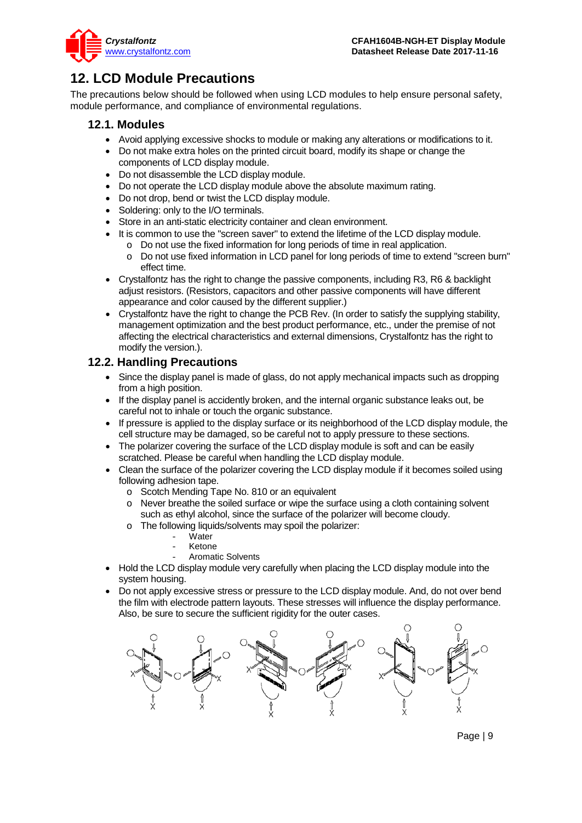

### <span id="page-8-0"></span>**12. LCD Module Precautions**

The precautions below should be followed when using LCD modules to help ensure personal safety, module performance, and compliance of environmental regulations.

#### **12.1. Modules**

- Avoid applying excessive shocks to module or making any alterations or modifications to it.
- Do not make extra holes on the printed circuit board, modify its shape or change the components of LCD display module.
- Do not disassemble the LCD display module.
- Do not operate the LCD display module above the absolute maximum rating.
- Do not drop, bend or twist the LCD display module.
- Soldering: only to the I/O terminals.
- Store in an anti-static electricity container and clean environment.
	- It is common to use the "screen saver" to extend the lifetime of the LCD display module.
		- o Do not use the fixed information for long periods of time in real application.
		- Do not use fixed information in LCD panel for long periods of time to extend "screen burn" effect time.
- Crystalfontz has the right to change the passive components, including R3, R6 & backlight adjust resistors. (Resistors, capacitors and other passive components will have different appearance and color caused by the different supplier.)
- Crystalfontz have the right to change the PCB Rev. (In order to satisfy the supplying stability, management optimization and the best product performance, etc., under the premise of not affecting the electrical characteristics and external dimensions, Crystalfontz has the right to modify the version.).

#### **12.2. Handling Precautions**

- Since the display panel is made of glass, do not apply mechanical impacts such as dropping from a high position.
- If the display panel is accidently broken, and the internal organic substance leaks out, be careful not to inhale or touch the organic substance.
- If pressure is applied to the display surface or its neighborhood of the LCD display module, the cell structure may be damaged, so be careful not to apply pressure to these sections.
- The polarizer covering the surface of the LCD display module is soft and can be easily scratched. Please be careful when handling the LCD display module.
- Clean the surface of the polarizer covering the LCD display module if it becomes soiled using following adhesion tape.
	- o Scotch Mending Tape No. 810 or an equivalent
	- o Never breathe the soiled surface or wipe the surface using a cloth containing solvent such as ethyl alcohol, since the surface of the polarizer will become cloudy.
	- o The following liquids/solvents may spoil the polarizer:
		- Water
		- **Ketone**
		- Aromatic Solvents
- Hold the LCD display module very carefully when placing the LCD display module into the system housing.
- Do not apply excessive stress or pressure to the LCD display module. And, do not over bend the film with electrode pattern layouts. These stresses will influence the display performance. Also, be sure to secure the sufficient rigidity for the outer cases.

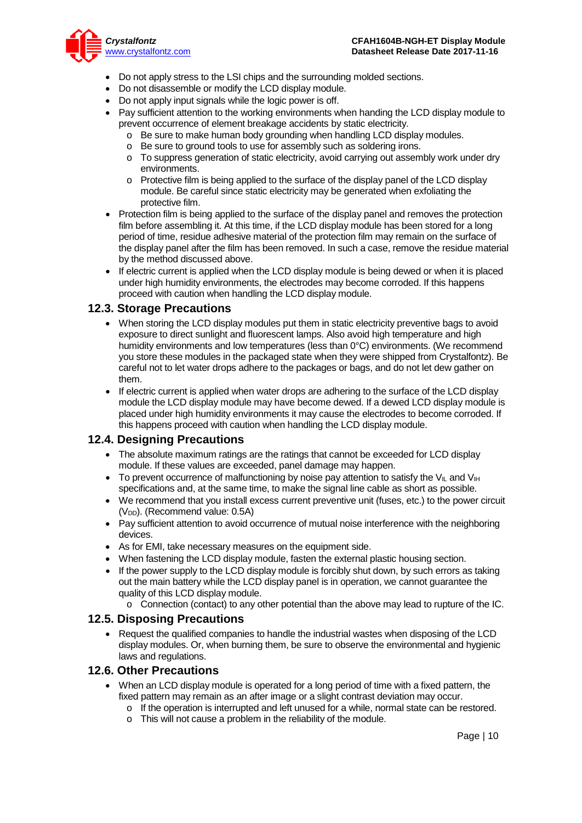

- Do not apply stress to the LSI chips and the surrounding molded sections.
- Do not disassemble or modify the LCD display module.
- Do not apply input signals while the logic power is off.
- Pay sufficient attention to the working environments when handing the LCD display module to prevent occurrence of element breakage accidents by static electricity.
	- o Be sure to make human body grounding when handling LCD display modules.
	- o Be sure to ground tools to use for assembly such as soldering irons.
	- o To suppress generation of static electricity, avoid carrying out assembly work under dry environments.
	- $\circ$  Protective film is being applied to the surface of the display panel of the LCD display module. Be careful since static electricity may be generated when exfoliating the protective film.
- Protection film is being applied to the surface of the display panel and removes the protection film before assembling it. At this time, if the LCD display module has been stored for a long period of time, residue adhesive material of the protection film may remain on the surface of the display panel after the film has been removed. In such a case, remove the residue material by the method discussed above.
- If electric current is applied when the LCD display module is being dewed or when it is placed under high humidity environments, the electrodes may become corroded. If this happens proceed with caution when handling the LCD display module.

#### **12.3. Storage Precautions**

- When storing the LCD display modules put them in static electricity preventive bags to avoid exposure to direct sunlight and fluorescent lamps. Also avoid high temperature and high humidity environments and low temperatures (less than 0°C) environments. (We recommend you store these modules in the packaged state when they were shipped from Crystalfontz). Be careful not to let water drops adhere to the packages or bags, and do not let dew gather on them.
- If electric current is applied when water drops are adhering to the surface of the LCD display module the LCD display module may have become dewed. If a dewed LCD display module is placed under high humidity environments it may cause the electrodes to become corroded. If this happens proceed with caution when handling the LCD display module.

#### **12.4. Designing Precautions**

- The absolute maximum ratings are the ratings that cannot be exceeded for LCD display module. If these values are exceeded, panel damage may happen.
- To prevent occurrence of malfunctioning by noise pay attention to satisfy the V<sub>II</sub> and V<sub>IH</sub> specifications and, at the same time, to make the signal line cable as short as possible.
- We recommend that you install excess current preventive unit (fuses, etc.) to the power circuit (V<sub>DD</sub>). (Recommend value: 0.5A)
- Pay sufficient attention to avoid occurrence of mutual noise interference with the neighboring devices.
- As for EMI, take necessary measures on the equipment side.
- When fastening the LCD display module, fasten the external plastic housing section.
- If the power supply to the LCD display module is forcibly shut down, by such errors as taking out the main battery while the LCD display panel is in operation, we cannot guarantee the quality of this LCD display module.
	- o Connection (contact) to any other potential than the above may lead to rupture of the IC.

#### **12.5. Disposing Precautions**

• Request the qualified companies to handle the industrial wastes when disposing of the LCD display modules. Or, when burning them, be sure to observe the environmental and hygienic laws and regulations.

#### **12.6. Other Precautions**

- When an LCD display module is operated for a long period of time with a fixed pattern, the fixed pattern may remain as an after image or a slight contrast deviation may occur.
	- $\circ$  If the operation is interrupted and left unused for a while, normal state can be restored.
	- o This will not cause a problem in the reliability of the module.